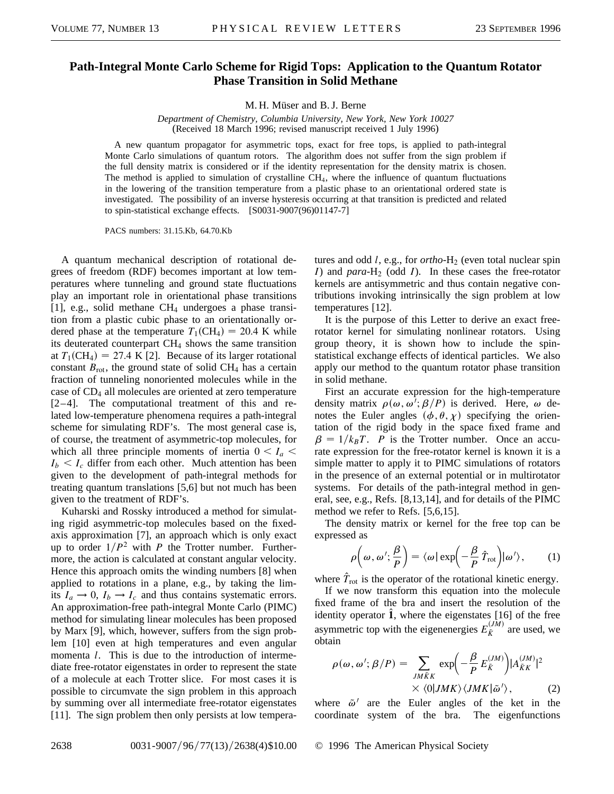## **Path-Integral Monte Carlo Scheme for Rigid Tops: Application to the Quantum Rotator Phase Transition in Solid Methane**

M. H. Müser and B. J. Berne

*Department of Chemistry, Columbia University, New York, New York 10027* (Received 18 March 1996; revised manuscript received 1 July 1996)

A new quantum propagator for asymmetric tops, exact for free tops, is applied to path-integral Monte Carlo simulations of quantum rotors. The algorithm does not suffer from the sign problem if the full density matrix is considered or if the identity representation for the density matrix is chosen. The method is applied to simulation of crystalline  $CH<sub>4</sub>$ , where the influence of quantum fluctuations in the lowering of the transition temperature from a plastic phase to an orientational ordered state is investigated. The possibility of an inverse hysteresis occurring at that transition is predicted and related to spin-statistical exchange effects. [S0031-9007(96)01147-7]

PACS numbers: 31.15.Kb, 64.70.Kb

A quantum mechanical description of rotational degrees of freedom (RDF) becomes important at low temperatures where tunneling and ground state fluctuations play an important role in orientational phase transitions [1], e.g., solid methane CH<sup>4</sup> undergoes a phase transition from a plastic cubic phase to an orientationally ordered phase at the temperature  $T_1(CH_4) = 20.4$  K while its deuterated counterpart CH<sub>4</sub> shows the same transition at  $T_1(\text{CH}_4) = 27.4 \text{ K } [2]$ . Because of its larger rotational constant  $B_{\text{rot}}$ , the ground state of solid CH<sub>4</sub> has a certain fraction of tunneling nonoriented molecules while in the case of CD<sup>4</sup> all molecules are oriented at zero temperature [2–4]. The computational treatment of this and related low-temperature phenomena requires a path-integral scheme for simulating RDF's. The most general case is, of course, the treatment of asymmetric-top molecules, for which all three principle moments of inertia  $0 < I_a$  $I_b < I_c$  differ from each other. Much attention has been given to the development of path-integral methods for treating quantum translations [5,6] but not much has been given to the treatment of RDF's.

Kuharski and Rossky introduced a method for simulating rigid asymmetric-top molecules based on the fixedaxis approximation [7], an approach which is only exact up to order  $1/P^2$  with *P* the Trotter number. Furthermore, the action is calculated at constant angular velocity. Hence this approach omits the winding numbers [8] when applied to rotations in a plane, e.g., by taking the limits  $I_a \rightarrow 0$ ,  $I_b \rightarrow I_c$  and thus contains systematic errors. An approximation-free path-integral Monte Carlo (PIMC) method for simulating linear molecules has been proposed by Marx [9], which, however, suffers from the sign problem [10] even at high temperatures and even angular momenta *l*. This is due to the introduction of intermediate free-rotator eigenstates in order to represent the state of a molecule at each Trotter slice. For most cases it is possible to circumvate the sign problem in this approach by summing over all intermediate free-rotator eigenstates [11]. The sign problem then only persists at low tempera-

tures and odd *l*, e.g., for *ortho*-H<sub>2</sub> (even total nuclear spin *I*) and *para*-H<sub>2</sub> (odd *I*). In these cases the free-rotator kernels are antisymmetric and thus contain negative contributions invoking intrinsically the sign problem at low temperatures [12].

It is the purpose of this Letter to derive an exact freerotator kernel for simulating nonlinear rotators. Using group theory, it is shown how to include the spinstatistical exchange effects of identical particles. We also apply our method to the quantum rotator phase transition in solid methane.

First an accurate expression for the high-temperature density matrix  $\rho(\omega, \omega^{\hat{i}}; \beta/P)$  is derived. Here,  $\omega$  denotes the Euler angles  $(\phi, \theta, \chi)$  specifying the orientation of the rigid body in the space fixed frame and  $\beta = 1/k_BT$ . *P* is the Trotter number. Once an accurate expression for the free-rotator kernel is known it is a simple matter to apply it to PIMC simulations of rotators in the presence of an external potential or in multirotator systems. For details of the path-integral method in general, see, e.g., Refs. [8,13,14], and for details of the PIMC method we refer to Refs. [5,6,15].

The density matrix or kernel for the free top can be expressed as

$$
\rho\left(\omega,\omega';\frac{\beta}{P}\right) = \langle\omega|\exp\left(-\frac{\beta}{P}\,\hat{T}_{\text{rot}}\right)|\omega'\rangle,\qquad(1)
$$

where  $T_{\text{rot}}$  is the operator of the rotational kinetic energy.

If we now transform this equation into the molecule fixed frame of the bra and insert the resolution of the identity operator  $\hat{1}$ , where the eigenstates [16] of the free asymmetric top with the eigenenergies  $E_{\tilde{K}}^{(JM)}$  are used, we obtain

$$
\rho(\omega, \omega'; \beta/P) = \sum_{JM\tilde{K}K} \exp\left(-\frac{\beta}{P} E_{\tilde{K}}^{(JM)}\right) |A_{\tilde{K}K}^{(JM)}|^2
$$
  
 
$$
\times \langle 0|JMK\rangle \langle JMK|\tilde{\omega}'\rangle, \qquad (2)
$$

where  $\tilde{\omega}^{\prime}$  are the Euler angles of the ket in the coordinate system of the bra. The eigenfunctions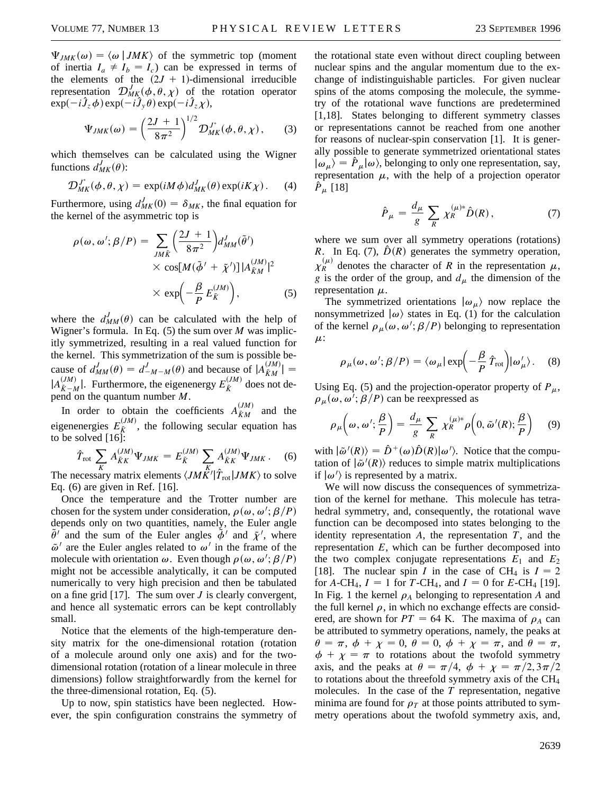$\Psi_{JMK}(\omega) = \langle \omega | JMK \rangle$  of the symmetric top (moment of inertia  $I_a \neq I_b = I_c$ ) can be expressed in terms of the elements of the  $(2J + 1)$ -dimensional irreducible representation  $\mathcal{D}_{MK}^{J}(\phi, \theta, \chi)$  of the rotation operator  $\exp(-i\hat{J}_z\phi)\exp(-i\hat{J}_y\theta)\exp(-i\hat{J}_z\chi),$ 

$$
\Psi_{JMK}(\omega) = \left(\frac{2J+1}{8\pi^2}\right)^{1/2} \mathcal{D}_{MK}^{J^*}(\phi, \theta, \chi), \qquad (3)
$$

which themselves can be calculated using the Wigner functions  $d_{MK}^{J}(\theta)$ :

$$
\mathcal{D}_{MK}^{J^*}(\phi,\theta,\chi) = \exp(iM\phi)d_{MK}^J(\theta)\exp(iK\chi).
$$
 (4)

Furthermore, using  $d_{MK}^{J}(0) = \delta_{MK}$ , the final equation for the kernel of the asymmetric top is

$$
\rho(\omega, \omega'; \beta/P) = \sum_{JM\tilde{K}} \left(\frac{2J+1}{8\pi^2}\right) d_{MM}^J(\tilde{\theta}')
$$
  
× cos[M( $\tilde{\phi}' + \tilde{\chi}'$ )]|A<sub>\tilde{K}M</sub>'|<sup>2</sup>  
× exp $\left(-\frac{\beta}{P} E_{\tilde{K}}^{(JM)}\right)$ , (5)

where the  $d_{MM}^{J}(\theta)$  can be calculated with the help of Wigner's formula. In Eq. (5) the sum over *M* was implicitly symmetrized, resulting in a real valued function for the kernel. This symmetrization of the sum is possible because of  $d_{MM}^{J}(\theta) = d_{-M-M}^{J}(\theta)$  and because of  $|A_{KM}^{(JM)}|$  =  $|A_{\tilde{K}-M}^{(JM)}|$ . Furthermore, the eigenenergy  $E_{\tilde{K}}^{(JM)}$  does not depend on the quantum number *M*.

In order to obtain the coefficients  $A_{\tilde{K}M}^{(JM)}$  and the eigenenergies  $E_{\tilde{K}}^{(JM)}$ , the following secular equation has to be solved  $[16]$ :

$$
\hat{T}_{\text{rot}} \sum_{K} A_{\tilde{K}K}^{(JM)} \Psi_{JMK} = E_{\tilde{K}}^{(JM)} \sum_{K} A_{\tilde{K}K}^{(JM)} \Psi_{JMK}.
$$
 (6)

The necessary matrix elements  $\langle J M K' | \hat{T}_{\text{rot}} | J M K \rangle$  to solve Eq. (6) are given in Ref. [16].

Once the temperature and the Trotter number are chosen for the system under consideration,  $\rho(\omega, \omega'; \beta/P)$ depends only on two quantities, namely, the Euler angle  $\tilde{\theta}'$  and the sum of the Euler angles  $\tilde{\phi}'$  and  $\tilde{\chi}'$ , where  $\tilde{\omega}'$  are the Euler angles related to  $\omega'$  in the frame of the molecule with orientation  $\omega$ . Even though  $\rho(\omega, \omega'; \beta/P)$ might not be accessible analytically, it can be computed numerically to very high precision and then be tabulated on a fine grid [17]. The sum over *J* is clearly convergent, and hence all systematic errors can be kept controllably small.

Notice that the elements of the high-temperature density matrix for the one-dimensional rotation (rotation of a molecule around only one axis) and for the twodimensional rotation (rotation of a linear molecule in three dimensions) follow straightforwardly from the kernel for the three-dimensional rotation, Eq. (5).

Up to now, spin statistics have been neglected. However, the spin configuration constrains the symmetry of

the rotational state even without direct coupling between nuclear spins and the angular momentum due to the exchange of indistinguishable particles. For given nuclear spins of the atoms composing the molecule, the symmetry of the rotational wave functions are predetermined [1,18]. States belonging to different symmetry classes or representations cannot be reached from one another for reasons of nuclear-spin conservation [1]. It is generally possible to generate symmetrized orientational states  $|\omega_{\mu}\rangle = P_{\mu}|\omega\rangle$ , belonging to only one representation, say, representation  $\mu$ , with the help of a projection operator  $\ddot{P}_{\mu}$  [18]

$$
\hat{P}_{\mu} = \frac{d_{\mu}}{g} \sum_{R} \chi_{R}^{(\mu)*} \hat{D}(R), \qquad (7)
$$

where we sum over all symmetry operations (rotations) *R*. In Eq. (7),  $\hat{D}(R)$  generates the symmetry operation,  $\chi_R^{(\mu)}$  denotes the character of *R* in the representation  $\mu$ , *g* is the order of the group, and  $d_{\mu}$  the dimension of the representation  $\mu$ .

The symmetrized orientations  $|\omega_{\mu}\rangle$  now replace the nonsymmetrized  $\vert \omega \rangle$  states in Eq. (1) for the calculation of the kernel  $\rho_{\mu}(\omega, \omega'; \beta/P)$  belonging to representation  $\mu$ :

$$
\rho_{\mu}(\omega, \omega'; \beta/P) = \langle \omega_{\mu} | \exp \left( -\frac{\beta}{P} \hat{T}_{\text{rot}} \right) | \omega'_{\mu} \rangle. \quad (8)
$$

Using Eq. (5) and the projection-operator property of  $P_{\mu}$ ,  $\rho_{\mu}(\omega, \omega^j; \beta/P)$  can be reexpressed as

$$
\rho_{\mu}\left(\omega,\,\omega';\frac{\beta}{P}\right) = \frac{d_{\mu}}{g} \sum_{R} \chi_{R}^{(\mu)*} \rho\left(0,\,\tilde{\omega}'(R); \frac{\beta}{P}\right) \tag{9}
$$

with  $|\tilde{\omega}'(R)\rangle = \hat{D}^+(\omega)\hat{D}(R)|\omega'\rangle$ . Notice that the computation of  $\left| \tilde{\omega}'(R) \right\rangle$  reduces to simple matrix multiplications if  $\vert \omega' \rangle$  is represented by a matrix.

We will now discuss the consequences of symmetrization of the kernel for methane. This molecule has tetrahedral symmetry, and, consequently, the rotational wave function can be decomposed into states belonging to the identity representation *A*, the representation *T*, and the representation *E*, which can be further decomposed into the two complex conjugate representations  $E_1$  and  $E_2$ [18]. The nuclear spin *I* in the case of CH<sub>4</sub> is  $I = 2$ for *A*-CH<sub>4</sub>,  $I = 1$  for *T*-CH<sub>4</sub>, and  $I = 0$  for *E*-CH<sub>4</sub> [19]. In Fig. 1 the kernel  $\rho_A$  belonging to representation *A* and the full kernel  $\rho$ , in which no exchange effects are considered, are shown for  $PT = 64$  K. The maxima of  $\rho_A$  can be attributed to symmetry operations, namely, the peaks at  $\theta = \pi$ ,  $\phi + \chi = 0$ ,  $\theta = 0$ ,  $\phi + \chi = \pi$ , and  $\theta = \pi$ ,  $\phi + \chi = \pi$  to rotations about the twofold symmetry axis, and the peaks at  $\theta = \pi/4$ ,  $\phi + \chi = \pi/2$ ,  $3\pi/2$ to rotations about the threefold symmetry axis of the CH<sup>4</sup> molecules. In the case of the *T* representation, negative minima are found for  $\rho_T$  at those points attributed to symmetry operations about the twofold symmetry axis, and,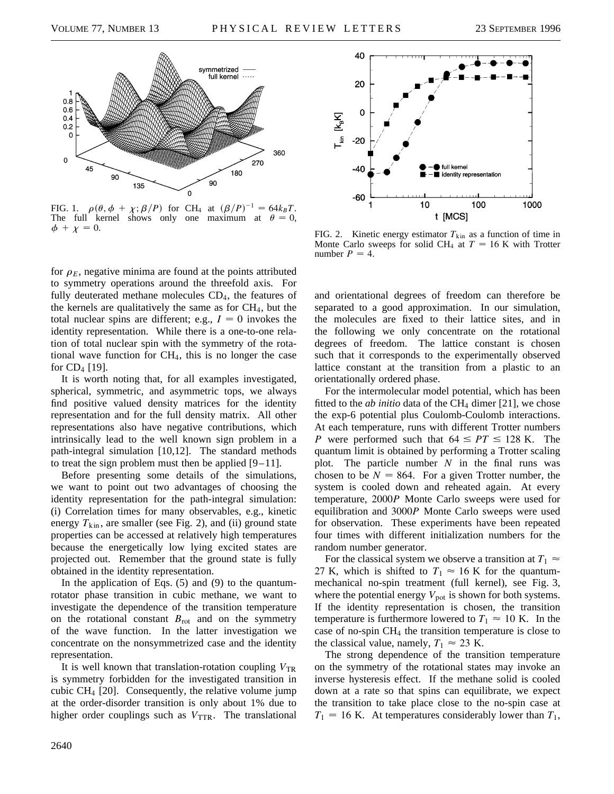

FIG. 1.  $\rho(\theta, \phi + \chi; \beta/P)$  for CH<sub>4</sub> at  $(\beta/P)^{-1} = 64k_BT$ . The full kernel shows only one maximum at  $\theta = 0$ ,  $\phi + \chi = 0.$ 

for  $\rho_E$ , negative minima are found at the points attributed to symmetry operations around the threefold axis. For fully deuterated methane molecules CD<sub>4</sub>, the features of the kernels are qualitatively the same as for  $CH<sub>4</sub>$ , but the total nuclear spins are different; e.g.,  $I = 0$  invokes the identity representation. While there is a one-to-one relation of total nuclear spin with the symmetry of the rotational wave function for CH4, this is no longer the case for  $CD_4$  [19].

It is worth noting that, for all examples investigated, spherical, symmetric, and asymmetric tops, we always find positive valued density matrices for the identity representation and for the full density matrix. All other representations also have negative contributions, which intrinsically lead to the well known sign problem in a path-integral simulation [10,12]. The standard methods to treat the sign problem must then be applied  $[9-11]$ .

Before presenting some details of the simulations, we want to point out two advantages of choosing the identity representation for the path-integral simulation: (i) Correlation times for many observables, e.g., kinetic energy  $T_{\text{kin}}$ , are smaller (see Fig. 2), and (ii) ground state properties can be accessed at relatively high temperatures because the energetically low lying excited states are projected out. Remember that the ground state is fully obtained in the identity representation.

In the application of Eqs.  $(5)$  and  $(9)$  to the quantumrotator phase transition in cubic methane, we want to investigate the dependence of the transition temperature on the rotational constant  $B_{\text{rot}}$  and on the symmetry of the wave function. In the latter investigation we concentrate on the nonsymmetrized case and the identity representation.

It is well known that translation-rotation coupling  $V_{TR}$ is symmetry forbidden for the investigated transition in cubic  $CH_4$  [20]. Consequently, the relative volume jump at the order-disorder transition is only about 1% due to higher order couplings such as  $V_{\text{TTR}}$ . The translational



FIG. 2. Kinetic energy estimator  $T_{kin}$  as a function of time in Monte Carlo sweeps for solid CH<sub>4</sub> at  $T = 16$  K with Trotter number  $P = 4$ .

and orientational degrees of freedom can therefore be separated to a good approximation. In our simulation, the molecules are fixed to their lattice sites, and in the following we only concentrate on the rotational degrees of freedom. The lattice constant is chosen such that it corresponds to the experimentally observed lattice constant at the transition from a plastic to an orientationally ordered phase.

For the intermolecular model potential, which has been fitted to the *ab initio* data of the  $CH<sub>4</sub>$  dimer [21], we chose the exp-6 potential plus Coulomb-Coulomb interactions. At each temperature, runs with different Trotter numbers *P* were performed such that  $64 \leq PT \leq 128$  K. The quantum limit is obtained by performing a Trotter scaling plot. The particle number *N* in the final runs was chosen to be  $N = 864$ . For a given Trotter number, the system is cooled down and reheated again. At every temperature, 2000*P* Monte Carlo sweeps were used for equilibration and 3000*P* Monte Carlo sweeps were used for observation. These experiments have been repeated four times with different initialization numbers for the random number generator.

For the classical system we observe a transition at  $T_1 \approx$ 27 K, which is shifted to  $T_1 \approx 16$  K for the quantummechanical no-spin treatment (full kernel), see Fig. 3, where the potential energy  $V_{pot}$  is shown for both systems. If the identity representation is chosen, the transition temperature is furthermore lowered to  $T_1 \approx 10$  K. In the case of no-spin CH<sup>4</sup> the transition temperature is close to the classical value, namely,  $T_1 \approx 23$  K.

The strong dependence of the transition temperature on the symmetry of the rotational states may invoke an inverse hysteresis effect. If the methane solid is cooled down at a rate so that spins can equilibrate, we expect the transition to take place close to the no-spin case at  $T_1 = 16$  K. At temperatures considerably lower than  $T_1$ ,